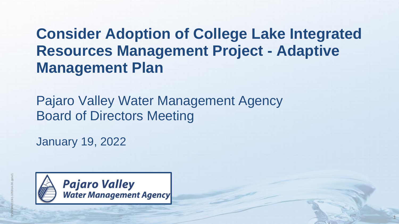# **Consider Adoption of College Lake Integrated Resources Management Project - Adaptive Management Plan**

**1**

Pajaro Valley Water Management Agency Board of Directors Meeting

January 19, 2022

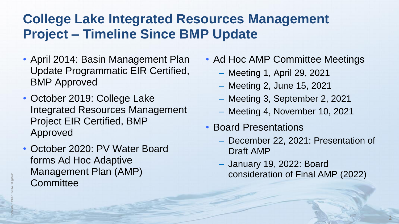### **College Lake Integrated Resources Management Project – Timeline Since BMP Update**

- April 2014: Basin Management Plan Update Programmatic EIR Certified, BMP Approved
- October 2019: College Lake Integrated Resources Management Project EIR Certified, BMP Approved
- October 2020: PV Water Board forms Ad Hoc Adaptive Management Plan (AMP) **Committee**
- Ad Hoc AMP Committee Meetings
	- Meeting 1, April 29, 2021
	- Meeting 2, June 15, 2021
	- Meeting 3, September 2, 2021
	- Meeting 4, November 10, 2021
- Board Presentations
	- December 22, 2021: Presentation of Draft AMP
	- January 19, 2022: Board consideration of Final AMP (2022)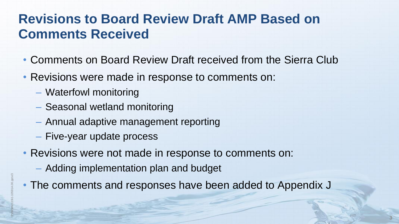# **Revisions to Board Review Draft AMP Based on Comments Received**<br>
• Comments on Board Review Draft received from the Sierra C<br>
• Revisions were made in response to comments on:<br>
– Waterfowl monitoring<br>
– Seasonal wetland m **Comments Received**

- Comments on Board Review Draft received from the Sierra Club
- Revisions were made in response to comments on:
	- Waterfowl monitoring
	- Seasonal wetland monitoring
	- Annual adaptive management reporting
	- Five-year update process
- Revisions were not made in response to comments on:
	- Adding implementation plan and budget
- The comments and responses have been added to Appendix J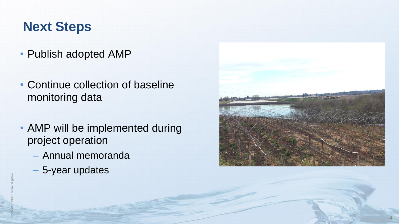### **Next Steps**

- Publish adopted AMP
- Continue collection of baseline monitoring data
- AMP will be implemented during project operation
	- Annual memoranda
	- 5-year updates

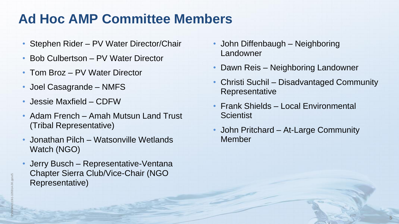- Stephen Rider PV Water Director/Chair
- Bob Culbertson PV Water Director
- Tom Broz PV Water Director
- Joel Casagrande NMFS
- Jessie Maxfield CDFW
- Adam French Amah Mutsun Land Trust (Tribal Representative)
- Jonathan Pilch Watsonville Wetlands Watch (NGO)
- **Ad Hoc AMP Committee Members**<br>
 Stephen Rider PV Water Director/Chair<br>
 Bob Culbertson PV Water Director<br>
 Tom Broz PV Water Director<br>
 Joel Casagrande NMFS<br>
 Jessie Maxfield CDFW<br>
 Adam French Amah Muts • Jerry Busch – Representative-Ventana Chapter Sierra Club/Vice-Chair (NGO Representative)
	- John Diffenbaugh Neighboring Landowner
	- Dawn Reis Neighboring Landowner
	- Christi Suchil Disadvantaged Community Representative
	- Frank Shields Local Environmental **Scientist**
	- John Pritchard At-Large Community Member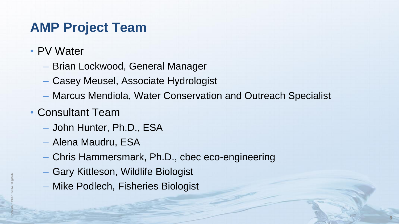## **AMP Project Team**

- PV Water
	- Brian Lockwood, General Manager
	- Casey Meusel, Associate Hydrologist
	- Marcus Mendiola, Water Conservation and Outreach Specialist

- Consultant Team
	- John Hunter, Ph.D., ESA
	- Alena Maudru, ESA
	- Chris Hammersmark, Ph.D., cbec eco-engineering
	- Gary Kittleson, Wildlife Biologist
	- Mike Podlech, Fisheries Biologist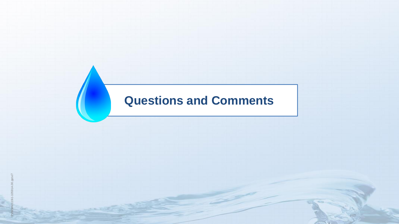## **Questions and Comments**